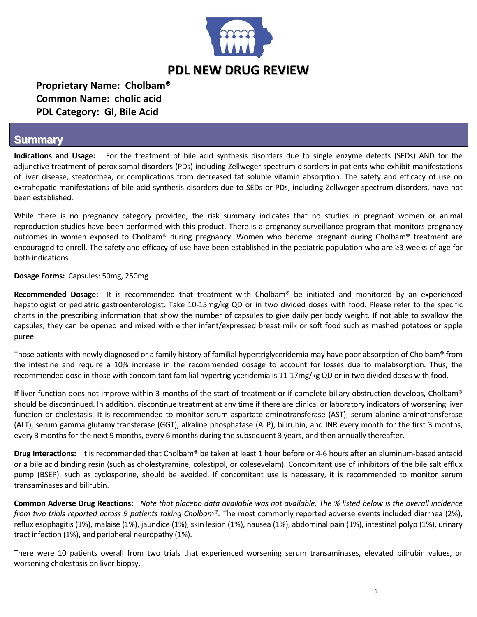

# **Proprietary Name: Cholbam® Common Name: cholic acid PDL Category: GI, Bile Acid**

### **Summary**

**Indications and Usage:**  For the treatment of bile acid synthesis disorders due to single enzyme defects (SEDs) AND for the adjunctive treatment of peroxisomal disorders (PDs) including Zellweger spectrum disorders in patients who exhibit manifestations of liver disease, steatorrhea, or complications from decreased fat soluble vitamin absorption. The safety and efficacy of use on extrahepatic manifestations of bile acid synthesis disorders due to SEDs or PDs, including Zellweger spectrum disorders, have not been established.

While there is no pregnancy category provided, the risk summary indicates that no studies in pregnant women or animal reproduction studies have been performed with this product. There is a pregnancy surveillance program that monitors pregnancy outcomes in women exposed to Cholbam® during pregnancy. Women who become pregnant during Cholbam® treatment are encouraged to enroll. The safety and efficacy of use have been established in the pediatric population who are ≥3 weeks of age for both indications.

#### **Dosage Forms:** Capsules: 50mg, 250mg

**Recommended Dosage:**  It is recommended that treatment with Cholbam® be initiated and monitored by an experienced hepatologist or pediatric gastroenterologist**.** Take 10‐15mg/kg QD or in two divided doses with food. Please refer to the specific charts in the prescribing information that show the number of capsules to give daily per body weight. If not able to swallow the capsules, they can be opened and mixed with either infant/expressed breast milk or soft food such as mashed potatoes or apple puree.

Those patients with newly diagnosed or a family history of familial hypertriglyceridemia may have poor absorption of Cholbam® from the intestine and require a 10% increase in the recommended dosage to account for losses due to malabsorption. Thus, the recommended dose in those with concomitant familial hypertriglyceridemia is 11‐17mg/kg QD or in two divided doses with food.

If liver function does not improve within 3 months of the start of treatment or if complete biliary obstruction develops, Cholbam® should be discontinued. In addition, discontinue treatment at any time if there are clinical or laboratory indicators of worsening liver function or cholestasis. It is recommended to monitor serum aspartate aminotransferase (AST), serum alanine aminotransferase (ALT), serum gamma glutamyltransferase (GGT), alkaline phosphatase (ALP), bilirubin, and INR every month for the first 3 months, every 3 months for the next 9 months, every 6 months during the subsequent 3 years, and then annually thereafter.

**Drug Interactions:** It is recommended that Cholbam® be taken at least 1 hour before or 4‐6 hours after an aluminum‐based antacid or a bile acid binding resin (such as cholestyramine, colestipol, or colesevelam). Concomitant use of inhibitors of the bile salt efflux pump (BSEP), such as cyclosporine, should be avoided. If concomitant use is necessary, it is recommended to monitor serum transaminases and bilirubin.

**Common Adverse Drug Reactions:** Note that placebo data available was not available. The % listed below is the overall incidence *from two trials reported across 9 patients taking Cholbam®.* The most commonly reported adverse events included diarrhea (2%), reflux esophagitis (1%), malaise (1%), jaundice (1%), skin lesion (1%), nausea (1%), abdominal pain (1%), intestinal polyp (1%), urinary tract infection (1%), and peripheral neuropathy (1%).

There were 10 patients overall from two trials that experienced worsening serum transaminases, elevated bilirubin values, or worsening cholestasis on liver biopsy.